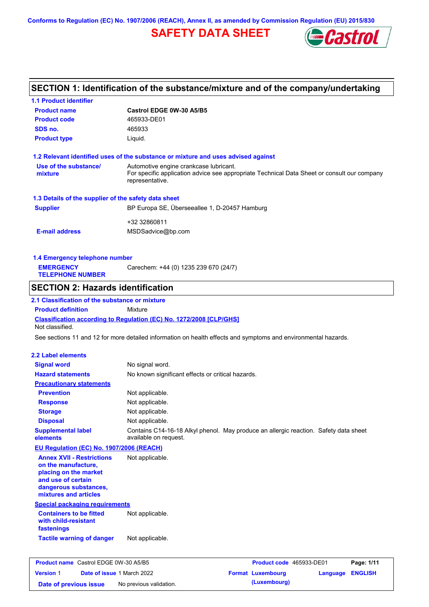**Conforms to Regulation (EC) No. 1907/2006 (REACH), Annex II, as amended by Commission Regulation (EU) 2015/830**

## **SAFETY DATA SHEET**



## **SECTION 1: Identification of the substance/mixture and of the company/undertaking**

| <b>1.1 Product identifier</b>                                                                                                                            |                                                                                                                                                          |                            |
|----------------------------------------------------------------------------------------------------------------------------------------------------------|----------------------------------------------------------------------------------------------------------------------------------------------------------|----------------------------|
| <b>Product name</b>                                                                                                                                      | Castrol EDGE 0W-30 A5/B5                                                                                                                                 |                            |
| <b>Product code</b>                                                                                                                                      | 465933-DE01                                                                                                                                              |                            |
| SDS no.                                                                                                                                                  | 465933                                                                                                                                                   |                            |
| <b>Product type</b>                                                                                                                                      | Liquid.                                                                                                                                                  |                            |
|                                                                                                                                                          | 1.2 Relevant identified uses of the substance or mixture and uses advised against                                                                        |                            |
| Use of the substance/<br>mixture                                                                                                                         | Automotive engine crankcase lubricant.<br>For specific application advice see appropriate Technical Data Sheet or consult our company<br>representative. |                            |
| 1.3 Details of the supplier of the safety data sheet                                                                                                     |                                                                                                                                                          |                            |
| <b>Supplier</b>                                                                                                                                          | BP Europa SE, Überseeallee 1, D-20457 Hamburg                                                                                                            |                            |
|                                                                                                                                                          | +32 32860811                                                                                                                                             |                            |
| <b>E-mail address</b>                                                                                                                                    | MSDSadvice@bp.com                                                                                                                                        |                            |
| 1.4 Emergency telephone number                                                                                                                           |                                                                                                                                                          |                            |
| <b>EMERGENCY</b><br><b>TELEPHONE NUMBER</b>                                                                                                              | Carechem: +44 (0) 1235 239 670 (24/7)                                                                                                                    |                            |
| <b>SECTION 2: Hazards identification</b>                                                                                                                 |                                                                                                                                                          |                            |
| 2.1 Classification of the substance or mixture                                                                                                           |                                                                                                                                                          |                            |
| <b>Product definition</b>                                                                                                                                | Mixture                                                                                                                                                  |                            |
| Not classified.                                                                                                                                          | <b>Classification according to Regulation (EC) No. 1272/2008 [CLP/GHS]</b>                                                                               |                            |
|                                                                                                                                                          | See sections 11 and 12 for more detailed information on health effects and symptoms and environmental hazards.                                           |                            |
|                                                                                                                                                          |                                                                                                                                                          |                            |
| 2.2 Label elements                                                                                                                                       |                                                                                                                                                          |                            |
| <b>Signal word</b>                                                                                                                                       | No signal word.                                                                                                                                          |                            |
| <b>Hazard statements</b>                                                                                                                                 | No known significant effects or critical hazards.                                                                                                        |                            |
| <b>Precautionary statements</b>                                                                                                                          |                                                                                                                                                          |                            |
| <b>Prevention</b>                                                                                                                                        | Not applicable.                                                                                                                                          |                            |
| <b>Response</b>                                                                                                                                          | Not applicable.                                                                                                                                          |                            |
| <b>Storage</b>                                                                                                                                           | Not applicable.                                                                                                                                          |                            |
| <b>Disposal</b>                                                                                                                                          | Not applicable.                                                                                                                                          |                            |
| <b>Supplemental label</b><br>elements                                                                                                                    | Contains C14-16-18 Alkyl phenol. May produce an allergic reaction. Safety data sheet<br>available on request.                                            |                            |
| EU Regulation (EC) No. 1907/2006 (REACH)                                                                                                                 |                                                                                                                                                          |                            |
| <b>Annex XVII - Restrictions</b><br>on the manufacture,<br>placing on the market<br>and use of certain<br>dangerous substances,<br>mixtures and articles | Not applicable.                                                                                                                                          |                            |
| <b>Special packaging requirements</b>                                                                                                                    |                                                                                                                                                          |                            |
| <b>Containers to be fitted</b><br>with child-resistant<br>fastenings                                                                                     | Not applicable.                                                                                                                                          |                            |
| <b>Tactile warning of danger</b>                                                                                                                         | Not applicable.                                                                                                                                          |                            |
|                                                                                                                                                          |                                                                                                                                                          |                            |
| <b>Product name</b> Castrol EDGE 0W-30 A5/B5                                                                                                             | Product code 465933-DE01                                                                                                                                 | Page: 1/11                 |
| Date of issue 1 March 2022<br><b>Version 1</b>                                                                                                           | <b>Format Luxembourg</b>                                                                                                                                 | <b>ENGLISH</b><br>Language |

**Date of previous issue** No previous validation. **(Luxembourg)**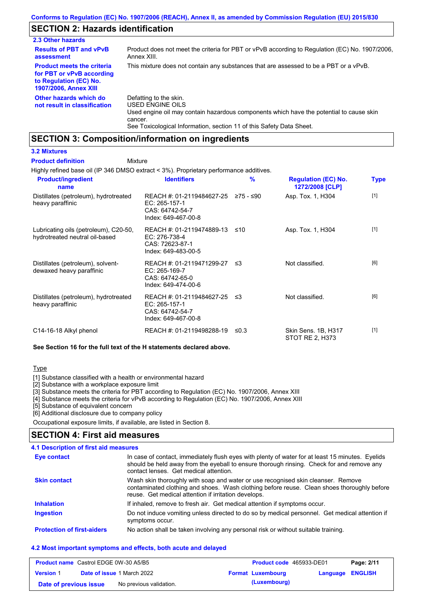### **SECTION 2: Hazards identification**

| 2.3 Other hazards                                                                                                        |                                                                                                                                                                                                                          |
|--------------------------------------------------------------------------------------------------------------------------|--------------------------------------------------------------------------------------------------------------------------------------------------------------------------------------------------------------------------|
| <b>Results of PBT and vPvB</b><br>assessment                                                                             | Product does not meet the criteria for PBT or vPvB according to Regulation (EC) No. 1907/2006.<br>Annex XIII.                                                                                                            |
| <b>Product meets the criteria</b><br>for PBT or vPvB according<br>to Regulation (EC) No.<br><b>1907/2006, Annex XIII</b> | This mixture does not contain any substances that are assessed to be a PBT or a vPvB.                                                                                                                                    |
| Other hazards which do<br>not result in classification                                                                   | Defatting to the skin.<br>USED ENGINE OILS<br>Used engine oil may contain hazardous components which have the potential to cause skin<br>cancer.<br>See Toxicological Information, section 11 of this Safety Data Sheet. |

## **SECTION 3: Composition/information on ingredients**

### **3.2 Mixtures**

#### Mixture **Product definition**

Highly refined base oil (IP 346 DMSO extract < 3%). Proprietary performance additives.

| <b>Product/ingredient</b><br>name                                       | <b>Identifiers</b>                                                                             | $\frac{9}{6}$ | <b>Regulation (EC) No.</b><br>1272/2008 [CLP] | <b>Type</b> |
|-------------------------------------------------------------------------|------------------------------------------------------------------------------------------------|---------------|-----------------------------------------------|-------------|
| Distillates (petroleum), hydrotreated<br>heavy paraffinic               | REACH #: 01-2119484627-25 ≥75 - ≤90<br>EC: 265-157-1<br>CAS: 64742-54-7<br>Index: 649-467-00-8 |               | Asp. Tox. 1, H304                             | $[1]$       |
| Lubricating oils (petroleum), C20-50,<br>hydrotreated neutral oil-based | REACH #: 01-2119474889-13<br>EC: 276-738-4<br>CAS: 72623-87-1<br>Index: 649-483-00-5           | ≤10           | Asp. Tox. 1, H304                             | $[1]$       |
| Distillates (petroleum), solvent-<br>dewaxed heavy paraffinic           | REACH #: 01-2119471299-27 ≤3<br>EC: 265-169-7<br>CAS: 64742-65-0<br>Index: 649-474-00-6        |               | Not classified.                               | [6]         |
| Distillates (petroleum), hydrotreated<br>heavy paraffinic               | REACH #: 01-2119484627-25 ≤3<br>EC: 265-157-1<br>CAS: 64742-54-7<br>Index: 649-467-00-8        |               | Not classified.                               | [6]         |
| C14-16-18 Alkyl phenol                                                  | REACH #: 01-2119498288-19                                                                      | ≤0.3          | Skin Sens. 1B, H317<br>STOT RE 2, H373        | $[1]$       |

#### **See Section 16 for the full text of the H statements declared above.**

### Type

[1] Substance classified with a health or environmental hazard

[2] Substance with a workplace exposure limit

[3] Substance meets the criteria for PBT according to Regulation (EC) No. 1907/2006, Annex XIII

[4] Substance meets the criteria for vPvB according to Regulation (EC) No. 1907/2006, Annex XIII

[5] Substance of equivalent concern

[6] Additional disclosure due to company policy

Occupational exposure limits, if available, are listed in Section 8.

### **SECTION 4: First aid measures**

### **4.1 Description of first aid measures**

| Eye contact                       | In case of contact, immediately flush eyes with plenty of water for at least 15 minutes. Eyelids<br>should be held away from the eyeball to ensure thorough rinsing. Check for and remove any<br>contact lenses. Get medical attention. |
|-----------------------------------|-----------------------------------------------------------------------------------------------------------------------------------------------------------------------------------------------------------------------------------------|
| <b>Skin contact</b>               | Wash skin thoroughly with soap and water or use recognised skin cleanser. Remove<br>contaminated clothing and shoes. Wash clothing before reuse. Clean shoes thoroughly before<br>reuse. Get medical attention if irritation develops.  |
| <b>Inhalation</b>                 | If inhaled, remove to fresh air. Get medical attention if symptoms occur.                                                                                                                                                               |
| <b>Ingestion</b>                  | Do not induce vomiting unless directed to do so by medical personnel. Get medical attention if<br>symptoms occur.                                                                                                                       |
| <b>Protection of first-aiders</b> | No action shall be taken involving any personal risk or without suitable training.                                                                                                                                                      |

#### **4.2 Most important symptoms and effects, both acute and delayed**

| <b>Product name</b> Castrol EDGE 0W-30 A5/B5 |  | <b>Product code</b> 465933-DE01   |  | Page: 2/11               |                         |  |
|----------------------------------------------|--|-----------------------------------|--|--------------------------|-------------------------|--|
| <b>Version 1</b>                             |  | <b>Date of issue 1 March 2022</b> |  | <b>Format Luxembourg</b> | <b>Language ENGLISH</b> |  |
| Date of previous issue                       |  | No previous validation.           |  | (Luxembourg)             |                         |  |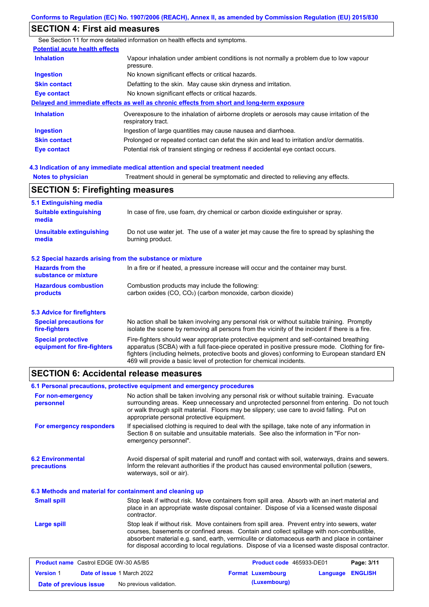### **SECTION 4: First aid measures**

**Notes to physician** Treatment should in general be symptomatic and directed to relieving any effects. **4.3 Indication of any immediate medical attention and special treatment needed** See Section 11 for more detailed information on health effects and symptoms. **Potential acute health effects Inhalation** Vapour inhalation under ambient conditions is not normally a problem due to low vapour pressure. **Ingestion** No known significant effects or critical hazards. **Skin contact** Defatting to the skin. May cause skin dryness and irritation. **Eye contact** No known significant effects or critical hazards. **Delayed and immediate effects as well as chronic effects from short and long-term exposure Inhalation Ingestion Skin contact Eye contact** Overexposure to the inhalation of airborne droplets or aerosols may cause irritation of the respiratory tract. Ingestion of large quantities may cause nausea and diarrhoea. Prolonged or repeated contact can defat the skin and lead to irritation and/or dermatitis. Potential risk of transient stinging or redness if accidental eye contact occurs. **SECTION 5: Firefighting measures**

| <b>JLUTTUR J. I II GIIGHLIIG HIGASULGS</b>                |                                                                                                                                                                                                                                                                                                                                                                   |  |  |  |  |
|-----------------------------------------------------------|-------------------------------------------------------------------------------------------------------------------------------------------------------------------------------------------------------------------------------------------------------------------------------------------------------------------------------------------------------------------|--|--|--|--|
| 5.1 Extinguishing media                                   |                                                                                                                                                                                                                                                                                                                                                                   |  |  |  |  |
| <b>Suitable extinguishing</b><br>media                    | In case of fire, use foam, dry chemical or carbon dioxide extinguisher or spray.                                                                                                                                                                                                                                                                                  |  |  |  |  |
| <b>Unsuitable extinguishing</b><br>media                  | Do not use water jet. The use of a water jet may cause the fire to spread by splashing the<br>burning product.                                                                                                                                                                                                                                                    |  |  |  |  |
| 5.2 Special hazards arising from the substance or mixture |                                                                                                                                                                                                                                                                                                                                                                   |  |  |  |  |
| <b>Hazards from the</b><br>substance or mixture           | In a fire or if heated, a pressure increase will occur and the container may burst.                                                                                                                                                                                                                                                                               |  |  |  |  |
| <b>Hazardous combustion</b>                               | Combustion products may include the following:                                                                                                                                                                                                                                                                                                                    |  |  |  |  |
| products                                                  | carbon oxides (CO, CO <sub>2</sub> ) (carbon monoxide, carbon dioxide)                                                                                                                                                                                                                                                                                            |  |  |  |  |
| 5.3 Advice for firefighters                               |                                                                                                                                                                                                                                                                                                                                                                   |  |  |  |  |
| <b>Special precautions for</b><br>fire-fighters           | No action shall be taken involving any personal risk or without suitable training. Promptly<br>isolate the scene by removing all persons from the vicinity of the incident if there is a fire.                                                                                                                                                                    |  |  |  |  |
| <b>Special protective</b><br>equipment for fire-fighters  | Fire-fighters should wear appropriate protective equipment and self-contained breathing<br>apparatus (SCBA) with a full face-piece operated in positive pressure mode. Clothing for fire-<br>fighters (including helmets, protective boots and gloves) conforming to European standard EN<br>469 will provide a basic level of protection for chemical incidents. |  |  |  |  |

### **SECTION 6: Accidental release measures**

|                                                          | 6.1 Personal precautions, protective equipment and emergency procedures |                                                                                                                                                                                                                                                                                                                                                                                                |            |
|----------------------------------------------------------|-------------------------------------------------------------------------|------------------------------------------------------------------------------------------------------------------------------------------------------------------------------------------------------------------------------------------------------------------------------------------------------------------------------------------------------------------------------------------------|------------|
| For non-emergency<br>personnel                           | appropriate personal protective equipment.                              | No action shall be taken involving any personal risk or without suitable training. Evacuate<br>surrounding areas. Keep unnecessary and unprotected personnel from entering. Do not touch<br>or walk through spilt material. Floors may be slippery; use care to avoid falling. Put on                                                                                                          |            |
| For emergency responders                                 | emergency personnel".                                                   | If specialised clothing is required to deal with the spillage, take note of any information in<br>Section 8 on suitable and unsuitable materials. See also the information in "For non-                                                                                                                                                                                                        |            |
| <b>6.2 Environmental</b><br>precautions                  | waterways, soil or air).                                                | Avoid dispersal of spilt material and runoff and contact with soil, waterways, drains and sewers.<br>Inform the relevant authorities if the product has caused environmental pollution (sewers,                                                                                                                                                                                                |            |
| 6.3 Methods and material for containment and cleaning up |                                                                         |                                                                                                                                                                                                                                                                                                                                                                                                |            |
| <b>Small spill</b>                                       | contractor.                                                             | Stop leak if without risk. Move containers from spill area. Absorb with an inert material and<br>place in an appropriate waste disposal container. Dispose of via a licensed waste disposal                                                                                                                                                                                                    |            |
| <b>Large spill</b>                                       |                                                                         | Stop leak if without risk. Move containers from spill area. Prevent entry into sewers, water<br>courses, basements or confined areas. Contain and collect spillage with non-combustible,<br>absorbent material e.g. sand, earth, vermiculite or diatomaceous earth and place in container<br>for disposal according to local regulations. Dispose of via a licensed waste disposal contractor. |            |
| <b>Product name</b> Castrol FDGF 0W-30 A5/B5             |                                                                         | Product code 465933-DF01                                                                                                                                                                                                                                                                                                                                                                       | Page: 3/11 |

| <b>Product name</b> Castrol EDGE 0W-30 A5/B5 |  | <b>Product code</b> 465933-DE01   |  | Page: 3/11               |                         |  |
|----------------------------------------------|--|-----------------------------------|--|--------------------------|-------------------------|--|
| <b>Version 1</b>                             |  | <b>Date of issue 1 March 2022</b> |  | <b>Format Luxembourg</b> | <b>Language ENGLISH</b> |  |
| Date of previous issue                       |  | No previous validation.           |  | (Luxembourg)             |                         |  |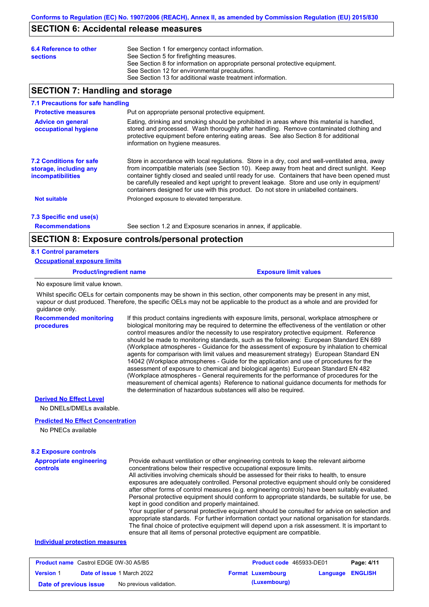### **SECTION 6: Accidental release measures**

| 6.4 Reference to other<br><b>sections</b> | See Section 1 for emergency contact information.<br>See Section 5 for firefighting measures.<br>See Section 8 for information on appropriate personal protective equipment.<br>See Section 12 for environmental precautions.<br>See Section 13 for additional waste treatment information. |
|-------------------------------------------|--------------------------------------------------------------------------------------------------------------------------------------------------------------------------------------------------------------------------------------------------------------------------------------------|
|                                           |                                                                                                                                                                                                                                                                                            |

### **SECTION 7: Handling and storage**

#### **7.1 Precautions for safe handling**

| <b>Protective measures</b>                                                           | Put on appropriate personal protective equipment.                                                                                                                                                                                                                                                                                                                                                                                                                                        |
|--------------------------------------------------------------------------------------|------------------------------------------------------------------------------------------------------------------------------------------------------------------------------------------------------------------------------------------------------------------------------------------------------------------------------------------------------------------------------------------------------------------------------------------------------------------------------------------|
| <b>Advice on general</b><br>occupational hygiene                                     | Eating, drinking and smoking should be prohibited in areas where this material is handled,<br>stored and processed. Wash thoroughly after handling. Remove contaminated clothing and<br>protective equipment before entering eating areas. See also Section 8 for additional<br>information on hygiene measures.                                                                                                                                                                         |
| <b>7.2 Conditions for safe</b><br>storage, including any<br><i>incompatibilities</i> | Store in accordance with local requlations. Store in a dry, cool and well-ventilated area, away<br>from incompatible materials (see Section 10). Keep away from heat and direct sunlight. Keep<br>container tightly closed and sealed until ready for use. Containers that have been opened must<br>be carefully resealed and kept upright to prevent leakage. Store and use only in equipment/<br>containers designed for use with this product. Do not store in unlabelled containers. |
| <b>Not suitable</b>                                                                  | Prolonged exposure to elevated temperature.                                                                                                                                                                                                                                                                                                                                                                                                                                              |
| 7.3 Specific end use(s)                                                              |                                                                                                                                                                                                                                                                                                                                                                                                                                                                                          |

**Recommendations**

See section 1.2 and Exposure scenarios in annex, if applicable.

### **SECTION 8: Exposure controls/personal protection**

#### **8.1 Control parameters**

**procedures**

**Occupational exposure limits**

**Product/ingredient name Exposure limit values**

No exposure limit value known.

Whilst specific OELs for certain components may be shown in this section, other components may be present in any mist, vapour or dust produced. Therefore, the specific OELs may not be applicable to the product as a whole and are provided for guidance only.

**Recommended monitoring**  If this product contains ingredients with exposure limits, personal, workplace atmosphere or biological monitoring may be required to determine the effectiveness of the ventilation or other control measures and/or the necessity to use respiratory protective equipment. Reference should be made to monitoring standards, such as the following: European Standard EN 689 (Workplace atmospheres - Guidance for the assessment of exposure by inhalation to chemical agents for comparison with limit values and measurement strategy) European Standard EN 14042 (Workplace atmospheres - Guide for the application and use of procedures for the assessment of exposure to chemical and biological agents) European Standard EN 482 (Workplace atmospheres - General requirements for the performance of procedures for the measurement of chemical agents) Reference to national guidance documents for methods for the determination of hazardous substances will also be required.

### **Derived No Effect Level**

No DNELs/DMELs available.

#### **Predicted No Effect Concentration**

No PNECs available

### **8.2 Exposure controls**

| <b>Appropriate engineering</b> | Provide exhaust ventilation or other engineering controls to keep the relevant airborne                                                                                                            |
|--------------------------------|----------------------------------------------------------------------------------------------------------------------------------------------------------------------------------------------------|
| <b>controls</b>                | concentrations below their respective occupational exposure limits.                                                                                                                                |
|                                | All activities involving chemicals should be assessed for their risks to health, to ensure                                                                                                         |
|                                | exposures are adequately controlled. Personal protective equipment should only be considered                                                                                                       |
|                                | after other forms of control measures (e.g. engineering controls) have been suitably evaluated.                                                                                                    |
|                                | Personal protective equipment should conform to appropriate standards, be suitable for use, be                                                                                                     |
|                                | kept in good condition and properly maintained.                                                                                                                                                    |
|                                | Your supplier of personal protective equipment should be consulted for advice on selection and<br>appropriate standards. For further information contact your national organisation for standards. |
|                                | The final choice of protective equipment will depend upon a risk assessment. It is important to                                                                                                    |

ensure that all items of personal protective equipment are compatible.

### **Individual protection measures**

| <b>Product name</b> Castrol EDGE 0W-30 A5/B5 |  | Product code 465933-DE01          |                          | Page: 4/11              |  |
|----------------------------------------------|--|-----------------------------------|--------------------------|-------------------------|--|
| <b>Version 1</b>                             |  | <b>Date of issue 1 March 2022</b> | <b>Format Luxembourg</b> | <b>Language ENGLISH</b> |  |
| Date of previous issue                       |  | No previous validation.           | (Luxembourg)             |                         |  |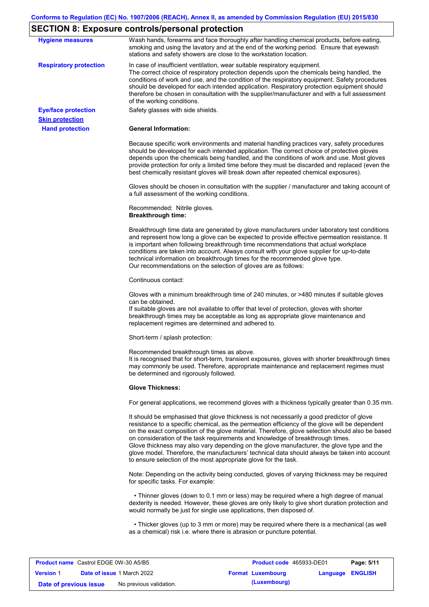# **SECTION 8: Exposure controls/personal protection**

| <b>Hygiene measures</b>       | Wash hands, forearms and face thoroughly after handling chemical products, before eating,<br>smoking and using the lavatory and at the end of the working period. Ensure that eyewash<br>stations and safety showers are close to the workstation location.                                                                                                                                                                                                                                                                                                                                                                                       |
|-------------------------------|---------------------------------------------------------------------------------------------------------------------------------------------------------------------------------------------------------------------------------------------------------------------------------------------------------------------------------------------------------------------------------------------------------------------------------------------------------------------------------------------------------------------------------------------------------------------------------------------------------------------------------------------------|
| <b>Respiratory protection</b> | In case of insufficient ventilation, wear suitable respiratory equipment.<br>The correct choice of respiratory protection depends upon the chemicals being handled, the<br>conditions of work and use, and the condition of the respiratory equipment. Safety procedures<br>should be developed for each intended application. Respiratory protection equipment should<br>therefore be chosen in consultation with the supplier/manufacturer and with a full assessment<br>of the working conditions.                                                                                                                                             |
| <b>Eye/face protection</b>    | Safety glasses with side shields.                                                                                                                                                                                                                                                                                                                                                                                                                                                                                                                                                                                                                 |
| <b>Skin protection</b>        |                                                                                                                                                                                                                                                                                                                                                                                                                                                                                                                                                                                                                                                   |
| <b>Hand protection</b>        | <b>General Information:</b>                                                                                                                                                                                                                                                                                                                                                                                                                                                                                                                                                                                                                       |
|                               | Because specific work environments and material handling practices vary, safety procedures<br>should be developed for each intended application. The correct choice of protective gloves<br>depends upon the chemicals being handled, and the conditions of work and use. Most gloves<br>provide protection for only a limited time before they must be discarded and replaced (even the<br>best chemically resistant gloves will break down after repeated chemical exposures).                                                                                                                                                                  |
|                               | Gloves should be chosen in consultation with the supplier / manufacturer and taking account of<br>a full assessment of the working conditions.                                                                                                                                                                                                                                                                                                                                                                                                                                                                                                    |
|                               | Recommended: Nitrile gloves.<br><b>Breakthrough time:</b>                                                                                                                                                                                                                                                                                                                                                                                                                                                                                                                                                                                         |
|                               | Breakthrough time data are generated by glove manufacturers under laboratory test conditions<br>and represent how long a glove can be expected to provide effective permeation resistance. It<br>is important when following breakthrough time recommendations that actual workplace<br>conditions are taken into account. Always consult with your glove supplier for up-to-date<br>technical information on breakthrough times for the recommended glove type.<br>Our recommendations on the selection of gloves are as follows:                                                                                                                |
|                               | Continuous contact:                                                                                                                                                                                                                                                                                                                                                                                                                                                                                                                                                                                                                               |
|                               | Gloves with a minimum breakthrough time of 240 minutes, or >480 minutes if suitable gloves<br>can be obtained.<br>If suitable gloves are not available to offer that level of protection, gloves with shorter<br>breakthrough times may be acceptable as long as appropriate glove maintenance and<br>replacement regimes are determined and adhered to.                                                                                                                                                                                                                                                                                          |
|                               | Short-term / splash protection:                                                                                                                                                                                                                                                                                                                                                                                                                                                                                                                                                                                                                   |
|                               | Recommended breakthrough times as above.<br>It is recognised that for short-term, transient exposures, gloves with shorter breakthrough times<br>may commonly be used. Therefore, appropriate maintenance and replacement regimes must<br>be determined and rigorously followed.                                                                                                                                                                                                                                                                                                                                                                  |
|                               | <b>Glove Thickness:</b>                                                                                                                                                                                                                                                                                                                                                                                                                                                                                                                                                                                                                           |
|                               | For general applications, we recommend gloves with a thickness typically greater than 0.35 mm.                                                                                                                                                                                                                                                                                                                                                                                                                                                                                                                                                    |
|                               | It should be emphasised that glove thickness is not necessarily a good predictor of glove<br>resistance to a specific chemical, as the permeation efficiency of the glove will be dependent<br>on the exact composition of the glove material. Therefore, glove selection should also be based<br>on consideration of the task requirements and knowledge of breakthrough times.<br>Glove thickness may also vary depending on the glove manufacturer, the glove type and the<br>glove model. Therefore, the manufacturers' technical data should always be taken into account<br>to ensure selection of the most appropriate glove for the task. |
|                               | Note: Depending on the activity being conducted, gloves of varying thickness may be required<br>for specific tasks. For example:                                                                                                                                                                                                                                                                                                                                                                                                                                                                                                                  |
|                               | • Thinner gloves (down to 0.1 mm or less) may be required where a high degree of manual<br>dexterity is needed. However, these gloves are only likely to give short duration protection and<br>would normally be just for single use applications, then disposed of.                                                                                                                                                                                                                                                                                                                                                                              |
|                               | • Thicker gloves (up to 3 mm or more) may be required where there is a mechanical (as well<br>as a chemical) risk i.e. where there is abrasion or puncture potential.                                                                                                                                                                                                                                                                                                                                                                                                                                                                             |
|                               |                                                                                                                                                                                                                                                                                                                                                                                                                                                                                                                                                                                                                                                   |

| <b>Product name</b> Castrol EDGE 0W-30 A5/B5 |                                   | <b>Product code</b> 465933-DE01 |                         | Page: 5/11 |
|----------------------------------------------|-----------------------------------|---------------------------------|-------------------------|------------|
| <b>Version 1</b>                             | <b>Date of issue 1 March 2022</b> | <b>Format Luxembourg</b>        | <b>Language ENGLISH</b> |            |
| Date of previous issue                       | No previous validation.           | (Luxembourg)                    |                         |            |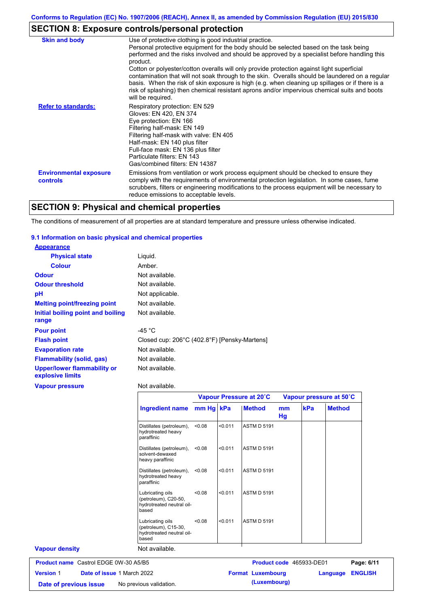## **SECTION 8: Exposure controls/personal protection**

| <b>Skin and body</b>                             | Use of protective clothing is good industrial practice.                                                                                                                                                                                                                                                                                                                                                               |
|--------------------------------------------------|-----------------------------------------------------------------------------------------------------------------------------------------------------------------------------------------------------------------------------------------------------------------------------------------------------------------------------------------------------------------------------------------------------------------------|
|                                                  | Personal protective equipment for the body should be selected based on the task being<br>performed and the risks involved and should be approved by a specialist before handling this<br>product.                                                                                                                                                                                                                     |
|                                                  | Cotton or polyester/cotton overalls will only provide protection against light superficial<br>contamination that will not soak through to the skin. Overalls should be laundered on a regular<br>basis. When the risk of skin exposure is high (e.g. when cleaning up spillages or if there is a<br>risk of splashing) then chemical resistant aprons and/or impervious chemical suits and boots<br>will be required. |
| <b>Refer to standards:</b>                       | Respiratory protection: EN 529<br>Gloves: EN 420, EN 374<br>Eye protection: EN 166<br>Filtering half-mask: EN 149<br>Filtering half-mask with valve: EN 405<br>Half-mask: EN 140 plus filter<br>Full-face mask: EN 136 plus filter<br>Particulate filters: EN 143<br>Gas/combined filters: EN 14387                                                                                                                   |
| <b>Environmental exposure</b><br><b>controls</b> | Emissions from ventilation or work process equipment should be checked to ensure they<br>comply with the requirements of environmental protection legislation. In some cases, fume<br>scrubbers, filters or engineering modifications to the process equipment will be necessary to<br>reduce emissions to acceptable levels.                                                                                         |

# **SECTION 9: Physical and chemical properties**

The conditions of measurement of all properties are at standard temperature and pressure unless otherwise indicated.

### **9.1 Information on basic physical and chemical properties**

| <b>Appearance</b>                                      |                                              |
|--------------------------------------------------------|----------------------------------------------|
| <b>Physical state</b>                                  | Liquid.                                      |
| <b>Colour</b>                                          | Amber.                                       |
| <b>Odour</b>                                           | Not available.                               |
| <b>Odour threshold</b>                                 | Not available.                               |
| рH                                                     | Not applicable.                              |
| <b>Melting point/freezing point</b>                    | Not available.                               |
| Initial boiling point and boiling<br>range             | Not available.                               |
| <b>Pour point</b>                                      | -45 $^{\circ}$ C                             |
| <b>Flash point</b>                                     | Closed cup: 206°C (402.8°F) [Pensky-Martens] |
| <b>Evaporation rate</b>                                | Not available.                               |
| <b>Flammability (solid, gas)</b>                       | Not available.                               |
| <b>Upper/lower flammability or</b><br>explosive limits | Not available.                               |
| <b>Vapour pressure</b>                                 | Not available.                               |

|                                                |                                                                                |           |         | Vapour Pressure at 20°C  | Vapour pressure at 50°C |     |                                   |
|------------------------------------------------|--------------------------------------------------------------------------------|-----------|---------|--------------------------|-------------------------|-----|-----------------------------------|
|                                                | <b>Ingredient name</b>                                                         | mm Hg kPa |         | <b>Method</b>            | mm<br>Hg                | kPa | <b>Method</b>                     |
|                                                | Distillates (petroleum),<br>hydrotreated heavy<br>paraffinic                   | < 0.08    | < 0.011 | <b>ASTM D 5191</b>       |                         |     |                                   |
|                                                | Distillates (petroleum),<br>solvent-dewaxed<br>heavy paraffinic                | < 0.08    | < 0.011 | <b>ASTM D 5191</b>       |                         |     |                                   |
|                                                | Distillates (petroleum),<br>hydrotreated heavy<br>paraffinic                   | < 0.08    | < 0.011 | <b>ASTM D 5191</b>       |                         |     |                                   |
|                                                | Lubricating oils<br>(petroleum), C20-50,<br>hydrotreated neutral oil-<br>based | < 0.08    | < 0.011 | <b>ASTM D 5191</b>       |                         |     |                                   |
|                                                | Lubricating oils<br>(petroleum), C15-30,<br>hydrotreated neutral oil-<br>based | < 0.08    | < 0.011 | <b>ASTM D 5191</b>       |                         |     |                                   |
| <b>Vapour density</b>                          | Not available.                                                                 |           |         |                          |                         |     |                                   |
| <b>Product name</b> Castrol EDGE 0W-30 A5/B5   |                                                                                |           |         | Product code 465933-DE01 |                         |     | Page: 6/11                        |
| Date of issue 1 March 2022<br><b>Version 1</b> |                                                                                |           |         | <b>Format Luxembourg</b> |                         |     | <b>ENGLISH</b><br><b>Language</b> |

**Date of previous issue** No previous validation. **(Luxembourg)**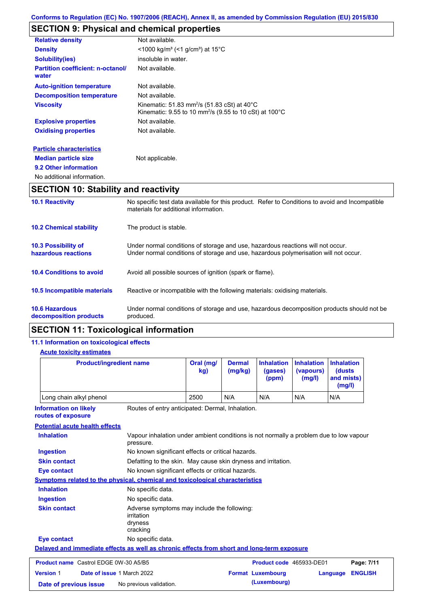## **SECTION 9: Physical and chemical properties**

| <b>Relative density</b>                           | Not available.                                                                                                                            |
|---------------------------------------------------|-------------------------------------------------------------------------------------------------------------------------------------------|
| <b>Density</b>                                    | $\leq$ 1000 kg/m <sup>3</sup> (<1 g/cm <sup>3</sup> ) at 15 <sup>°</sup> C                                                                |
| <b>Solubility(ies)</b>                            | insoluble in water.                                                                                                                       |
| <b>Partition coefficient: n-octanol/</b><br>water | Not available.                                                                                                                            |
| <b>Auto-ignition temperature</b>                  | Not available.                                                                                                                            |
| <b>Decomposition temperature</b>                  | Not available.                                                                                                                            |
| <b>Viscosity</b>                                  | Kinematic: 51.83 mm <sup>2</sup> /s (51.83 cSt) at 40 $^{\circ}$ C<br>Kinematic: 9.55 to 10 mm <sup>2</sup> /s (9.55 to 10 cSt) at 100 °C |
| <b>Explosive properties</b>                       | Not available.                                                                                                                            |
| <b>Oxidising properties</b>                       | Not available.                                                                                                                            |
| <b>Particle characteristics</b>                   |                                                                                                                                           |
| <b>Median particle size</b>                       | Not applicable.                                                                                                                           |

## **9.2 Other information**

```
No additional information.
```
## **SECTION 10: Stability and reactivity**

| <b>10.1 Reactivity</b>                            | No specific test data available for this product. Refer to Conditions to avoid and Incompatible<br>materials for additional information.                                |
|---------------------------------------------------|-------------------------------------------------------------------------------------------------------------------------------------------------------------------------|
| <b>10.2 Chemical stability</b>                    | The product is stable.                                                                                                                                                  |
| <b>10.3 Possibility of</b><br>hazardous reactions | Under normal conditions of storage and use, hazardous reactions will not occur.<br>Under normal conditions of storage and use, hazardous polymerisation will not occur. |
| <b>10.4 Conditions to avoid</b>                   | Avoid all possible sources of ignition (spark or flame).                                                                                                                |
| <b>10.5 Incompatible materials</b>                | Reactive or incompatible with the following materials: oxidising materials.                                                                                             |
| <b>10.6 Hazardous</b><br>decomposition products   | Under normal conditions of storage and use, hazardous decomposition products should not be<br>produced.                                                                 |

## **SECTION 11: Toxicological information**

### **11.1 Information on toxicological effects**

### **Acute toxicity estimates**

| <b>Product/ingredient name</b>                                                                         |                                                                                                     | Oral (mg/<br>kg) | <b>Dermal</b><br>(mg/kg) | <b>Inhalation</b><br>(gases)<br>(ppm) | <b>Inhalation</b><br>(vapours)<br>(mg/l) | <b>Inhalation</b><br>(dusts)<br>and mists)<br>(mg/l) |                |
|--------------------------------------------------------------------------------------------------------|-----------------------------------------------------------------------------------------------------|------------------|--------------------------|---------------------------------------|------------------------------------------|------------------------------------------------------|----------------|
| Long chain alkyl phenol                                                                                |                                                                                                     |                  | N/A                      | N/A                                   | N/A                                      | N/A                                                  |                |
| <b>Information on likely</b><br>Routes of entry anticipated: Dermal, Inhalation.<br>routes of exposure |                                                                                                     |                  |                          |                                       |                                          |                                                      |                |
| <b>Potential acute health effects</b>                                                                  |                                                                                                     |                  |                          |                                       |                                          |                                                      |                |
| <b>Inhalation</b>                                                                                      | Vapour inhalation under ambient conditions is not normally a problem due to low vapour<br>pressure. |                  |                          |                                       |                                          |                                                      |                |
| <b>Ingestion</b>                                                                                       | No known significant effects or critical hazards.                                                   |                  |                          |                                       |                                          |                                                      |                |
| <b>Skin contact</b>                                                                                    | Defatting to the skin. May cause skin dryness and irritation.                                       |                  |                          |                                       |                                          |                                                      |                |
| No known significant effects or critical hazards.<br><b>Eye contact</b>                                |                                                                                                     |                  |                          |                                       |                                          |                                                      |                |
| <b>Symptoms related to the physical, chemical and toxicological characteristics</b>                    |                                                                                                     |                  |                          |                                       |                                          |                                                      |                |
| <b>Inhalation</b>                                                                                      | No specific data.                                                                                   |                  |                          |                                       |                                          |                                                      |                |
| <b>Ingestion</b>                                                                                       | No specific data.                                                                                   |                  |                          |                                       |                                          |                                                      |                |
| <b>Skin contact</b>                                                                                    | Adverse symptoms may include the following:<br>irritation<br>dryness<br>cracking                    |                  |                          |                                       |                                          |                                                      |                |
| <b>Eye contact</b>                                                                                     | No specific data.                                                                                   |                  |                          |                                       |                                          |                                                      |                |
| Delayed and immediate effects as well as chronic effects from short and long-term exposure             |                                                                                                     |                  |                          |                                       |                                          |                                                      |                |
| Product name Castrol EDGE 0W-30 A5/B5                                                                  |                                                                                                     |                  |                          | Product code 465933-DE01              |                                          |                                                      | Page: 7/11     |
| <b>Version 1</b><br>Date of issue 1 March 2022                                                         |                                                                                                     |                  |                          | <b>Format Luxembourg</b>              |                                          | Language                                             | <b>ENGLISH</b> |
| Date of previous issue                                                                                 | No previous validation.                                                                             |                  |                          | (Luxembourg)                          |                                          |                                                      |                |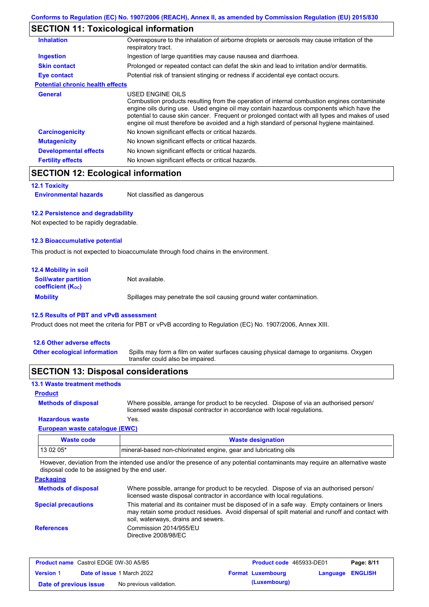## **SECTION 11: Toxicological information**

| <b>Inhalation</b>                       | Overexposure to the inhalation of airborne droplets or aerosols may cause irritation of the<br>respiratory tract.                                                                                                                                                                                                                                                                                        |
|-----------------------------------------|----------------------------------------------------------------------------------------------------------------------------------------------------------------------------------------------------------------------------------------------------------------------------------------------------------------------------------------------------------------------------------------------------------|
| Ingestion                               | Ingestion of large quantities may cause nausea and diarrhoea.                                                                                                                                                                                                                                                                                                                                            |
| <b>Skin contact</b>                     | Prolonged or repeated contact can defat the skin and lead to irritation and/or dermatitis.                                                                                                                                                                                                                                                                                                               |
| Eye contact                             | Potential risk of transient stinging or redness if accidental eye contact occurs.                                                                                                                                                                                                                                                                                                                        |
| <b>Potential chronic health effects</b> |                                                                                                                                                                                                                                                                                                                                                                                                          |
| General                                 | USED ENGINE OILS<br>Combustion products resulting from the operation of internal combustion engines contaminate<br>engine oils during use. Used engine oil may contain hazardous components which have the<br>potential to cause skin cancer. Frequent or prolonged contact with all types and makes of used<br>engine oil must therefore be avoided and a high standard of personal hygiene maintained. |
| <b>Carcinogenicity</b>                  | No known significant effects or critical hazards.                                                                                                                                                                                                                                                                                                                                                        |
| <b>Mutagenicity</b>                     | No known significant effects or critical hazards.                                                                                                                                                                                                                                                                                                                                                        |
| <b>Developmental effects</b>            | No known significant effects or critical hazards.                                                                                                                                                                                                                                                                                                                                                        |
| <b>Fertility effects</b>                | No known significant effects or critical hazards.                                                                                                                                                                                                                                                                                                                                                        |

## **SECTION 12: Ecological information**

**12.1 Toxicity**

**Environmental hazards** Not classified as dangerous

#### **12.2 Persistence and degradability**

Not expected to be rapidly degradable.

#### **12.3 Bioaccumulative potential**

This product is not expected to bioaccumulate through food chains in the environment.

| <b>12.4 Mobility in soil</b>                                  |                                                                      |
|---------------------------------------------------------------|----------------------------------------------------------------------|
| <b>Soil/water partition</b><br>coefficient (K <sub>oc</sub> ) | Not available.                                                       |
| <b>Mobility</b>                                               | Spillages may penetrate the soil causing ground water contamination. |

#### **12.5 Results of PBT and vPvB assessment**

Product does not meet the criteria for PBT or vPvB according to Regulation (EC) No. 1907/2006, Annex XIII.

### **12.6 Other adverse effects**

Spills may form a film on water surfaces causing physical damage to organisms. Oxygen transfer could also be impaired. **Other ecological information**

### **SECTION 13: Disposal considerations**

#### **13.1 Waste treatment methods**

### **Product**

**Methods of disposal**

Where possible, arrange for product to be recycled. Dispose of via an authorised person/ licensed waste disposal contractor in accordance with local regulations.

### **European waste catalogue (EWC) Hazardous waste** Yes.

| Waste code | <b>Waste designation</b>                                         |
|------------|------------------------------------------------------------------|
| $130205*$  | Imineral-based non-chlorinated engine, gear and lubricating oils |

However, deviation from the intended use and/or the presence of any potential contaminants may require an alternative waste disposal code to be assigned by the end user.

**Packaging**

| <b>Fackaging</b>           |                                                                                                                                                                                                                                         |
|----------------------------|-----------------------------------------------------------------------------------------------------------------------------------------------------------------------------------------------------------------------------------------|
| <b>Methods of disposal</b> | Where possible, arrange for product to be recycled. Dispose of via an authorised person/<br>licensed waste disposal contractor in accordance with local regulations.                                                                    |
| <b>Special precautions</b> | This material and its container must be disposed of in a safe way. Empty containers or liners<br>may retain some product residues. Avoid dispersal of spilt material and runoff and contact with<br>soil, waterways, drains and sewers. |
| <b>References</b>          | Commission 2014/955/EU<br>Directive 2008/98/EC                                                                                                                                                                                          |

| <b>Product name</b> Castrol EDGE 0W-30 A5/B5 |  |                                   | Product code 465933-DE01 |                          | Page: 8/11       |  |
|----------------------------------------------|--|-----------------------------------|--------------------------|--------------------------|------------------|--|
| <b>Version 1</b>                             |  | <b>Date of issue 1 March 2022</b> |                          | <b>Format Luxembourg</b> | Language ENGLISH |  |
| Date of previous issue                       |  | No previous validation.           |                          | (Luxembourg)             |                  |  |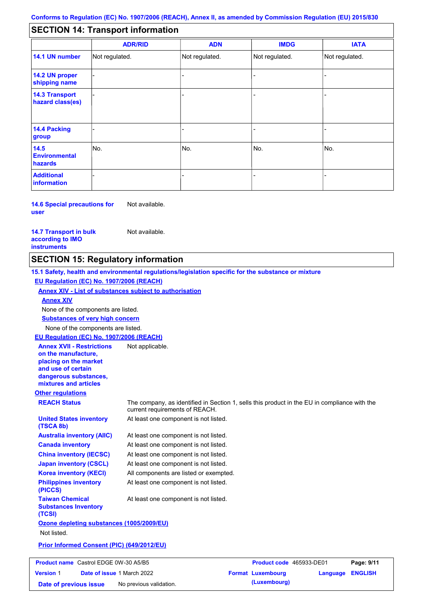#### - - - - - - - - - Not regulated. Not regulated. Not regulated. - - - **SECTION 14: Transport information ADR/RID IMDG IATA 14.1 UN number 14.2 UN proper shipping name 14.3 Transport hazard class(es) 14.4 Packing group ADN Additional information 14.5 Environmental hazards** No. 1980 | No. 1980 | No. 1980 | No. 1980 | No. 1980 | No. 1980 | No. 1980 | No. 1980 | No. 1980 | No. 1980 | Not regulated. - -<br>No. - -

**14.6 Special precautions for user** Not available.

**14.7 Transport in bulk according to IMO instruments**

**Version** 1

Not available.

### **SECTION 15: Regulatory information**

**Other regulations REACH Status** The company, as identified in Section 1, sells this product in the EU in compliance with the current requirements of REACH. **15.1 Safety, health and environmental regulations/legislation specific for the substance or mixture EU Regulation (EC) No. 1907/2006 (REACH) Annex XIV - List of substances subject to authorisation Substances of very high concern** None of the components are listed. At least one component is not listed. At least one component is not listed. At least one component is not listed. At least one component is not listed. At least one component is not listed. All components are listed or exempted. At least one component is not listed. **United States inventory (TSCA 8b) Australia inventory (AIIC) Canada inventory China inventory (IECSC) Japan inventory (CSCL) Korea inventory (KECI) Philippines inventory (PICCS) Taiwan Chemical Substances Inventory (TCSI)** At least one component is not listed. **Ozone depleting substances (1005/2009/EU)** Not listed. **Prior Informed Consent (PIC) (649/2012/EU)** None of the components are listed. **Annex XIV EU Regulation (EC) No. 1907/2006 (REACH) Annex XVII - Restrictions on the manufacture, placing on the market and use of certain dangerous substances, mixtures and articles** Not applicable. **Product name** Castrol EDGE 0W-30 A5/B5

**Product code** 465933-DE01 **Page: 9/11 Date of issue** 1 March 2022 **Format Luxembourg Language ENGLISH Date of previous issue** No previous validation. **(Luxembourg)**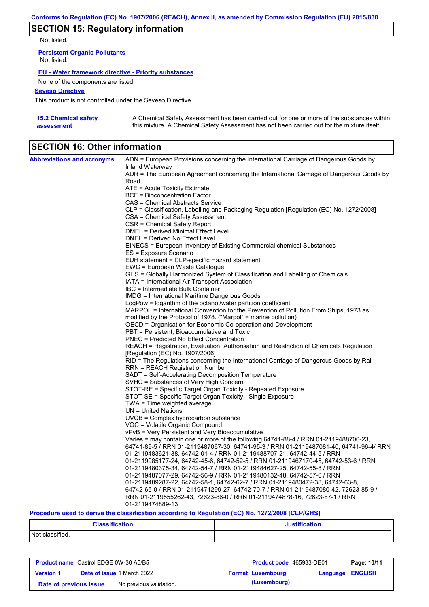## **SECTION 15: Regulatory information**

Not listed.

**Persistent Organic Pollutants** Not listed.

#### **EU - Water framework directive - Priority substances**

None of the components are listed.

### **Seveso Directive**

This product is not controlled under the Seveso Directive.

| 15.2 Chemical safety | A Chemical Safety Assessment has been carried out for one or more of the substances within  |
|----------------------|---------------------------------------------------------------------------------------------|
| assessment           | this mixture. A Chemical Safety Assessment has not been carried out for the mixture itself. |

## **SECTION 16: Other information**

| <b>Abbreviations and acronyms</b> | ADN = European Provisions concerning the International Carriage of Dangerous Goods by                                                      |
|-----------------------------------|--------------------------------------------------------------------------------------------------------------------------------------------|
|                                   | Inland Waterway<br>ADR = The European Agreement concerning the International Carriage of Dangerous Goods by                                |
|                                   | Road                                                                                                                                       |
|                                   | $ATE =$ Acute Toxicity Estimate                                                                                                            |
|                                   | <b>BCF</b> = Bioconcentration Factor                                                                                                       |
|                                   | CAS = Chemical Abstracts Service                                                                                                           |
|                                   | CLP = Classification, Labelling and Packaging Regulation [Regulation (EC) No. 1272/2008]                                                   |
|                                   | CSA = Chemical Safety Assessment                                                                                                           |
|                                   | CSR = Chemical Safety Report                                                                                                               |
|                                   | DMEL = Derived Minimal Effect Level                                                                                                        |
|                                   | DNEL = Derived No Effect Level                                                                                                             |
|                                   | EINECS = European Inventory of Existing Commercial chemical Substances<br>ES = Exposure Scenario                                           |
|                                   | EUH statement = CLP-specific Hazard statement                                                                                              |
|                                   | EWC = European Waste Catalogue                                                                                                             |
|                                   | GHS = Globally Harmonized System of Classification and Labelling of Chemicals                                                              |
|                                   | IATA = International Air Transport Association                                                                                             |
|                                   | IBC = Intermediate Bulk Container                                                                                                          |
|                                   | IMDG = International Maritime Dangerous Goods                                                                                              |
|                                   | LogPow = logarithm of the octanol/water partition coefficient                                                                              |
|                                   | MARPOL = International Convention for the Prevention of Pollution From Ships, 1973 as                                                      |
|                                   | modified by the Protocol of 1978. ("Marpol" = marine pollution)                                                                            |
|                                   | OECD = Organisation for Economic Co-operation and Development                                                                              |
|                                   | PBT = Persistent, Bioaccumulative and Toxic                                                                                                |
|                                   | <b>PNEC</b> = Predicted No Effect Concentration<br>REACH = Registration, Evaluation, Authorisation and Restriction of Chemicals Regulation |
|                                   | [Regulation (EC) No. 1907/2006]                                                                                                            |
|                                   | RID = The Regulations concerning the International Carriage of Dangerous Goods by Rail                                                     |
|                                   | RRN = REACH Registration Number                                                                                                            |
|                                   | SADT = Self-Accelerating Decomposition Temperature                                                                                         |
|                                   | SVHC = Substances of Very High Concern                                                                                                     |
|                                   | STOT-RE = Specific Target Organ Toxicity - Repeated Exposure                                                                               |
|                                   | STOT-SE = Specific Target Organ Toxicity - Single Exposure                                                                                 |
|                                   | $TWA = Time$ weighted average                                                                                                              |
|                                   | $UN = United Nations$                                                                                                                      |
|                                   | UVCB = Complex hydrocarbon substance                                                                                                       |
|                                   | VOC = Volatile Organic Compound<br>vPvB = Very Persistent and Very Bioaccumulative                                                         |
|                                   | Varies = may contain one or more of the following $64741-88-4$ / RRN 01-2119488706-23,                                                     |
|                                   | 64741-89-5 / RRN 01-2119487067-30, 64741-95-3 / RRN 01-2119487081-40, 64741-96-4/ RRN                                                      |
|                                   | 01-2119483621-38, 64742-01-4 / RRN 01-2119488707-21, 64742-44-5 / RRN                                                                      |
|                                   | 01-2119985177-24, 64742-45-6, 64742-52-5 / RRN 01-2119467170-45, 64742-53-6 / RRN                                                          |
|                                   | 01-2119480375-34, 64742-54-7 / RRN 01-2119484627-25, 64742-55-8 / RRN                                                                      |
|                                   | 01-2119487077-29, 64742-56-9 / RRN 01-2119480132-48, 64742-57-0 / RRN                                                                      |
|                                   | 01-2119489287-22, 64742-58-1, 64742-62-7 / RRN 01-2119480472-38, 64742-63-8,                                                               |
|                                   | 64742-65-0 / RRN 01-2119471299-27, 64742-70-7 / RRN 01-2119487080-42, 72623-85-9 /                                                         |
|                                   | RRN 01-2119555262-43, 72623-86-0 / RRN 01-2119474878-16, 72623-87-1 / RRN                                                                  |
|                                   | 01-2119474889-13                                                                                                                           |

### **Procedure used to derive the classification according to Regulation (EC) No. 1272/2008 [CLP/GHS]**

| <b>Classification</b> | <b>Justification</b> |
|-----------------------|----------------------|
| Not classified.       |                      |

| <b>Product name</b> Castrol EDGE 0W-30 A5/B5 |  |                                   | <b>Product code</b> 465933-DE01 |                          | Page: 10/11             |  |
|----------------------------------------------|--|-----------------------------------|---------------------------------|--------------------------|-------------------------|--|
| <b>Version 1</b>                             |  | <b>Date of issue 1 March 2022</b> |                                 | <b>Format Luxembourg</b> | <b>Language ENGLISH</b> |  |
| Date of previous issue                       |  | No previous validation.           |                                 | (Luxembourg)             |                         |  |